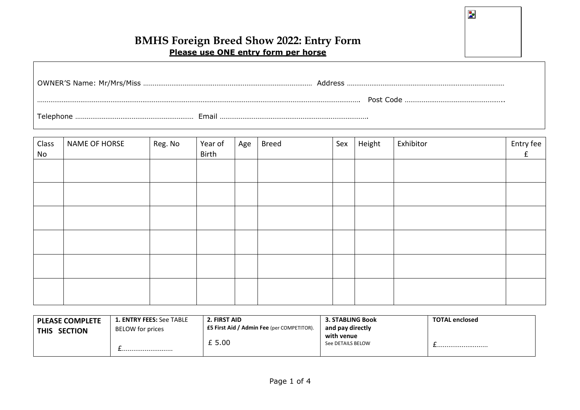$\overline{\mathbf{z}}$ 

# **BMHS Foreign Breed Show 2022: Entry Form Please use ONE entry form per horse**

|                    | Address |
|--------------------|---------|
|                    |         |
| Email<br>Telephone |         |

| Class<br>No | <b>NAME OF HORSE</b> | Reg. No | Year of<br>Birth | Age | <b>Breed</b> | Sex | Height | Exhibitor | Entry fee<br>f |
|-------------|----------------------|---------|------------------|-----|--------------|-----|--------|-----------|----------------|
|             |                      |         |                  |     |              |     |        |           |                |
|             |                      |         |                  |     |              |     |        |           |                |
|             |                      |         |                  |     |              |     |        |           |                |
|             |                      |         |                  |     |              |     |        |           |                |
|             |                      |         |                  |     |              |     |        |           |                |
|             |                      |         |                  |     |              |     |        |           |                |

| <b>PLEASE COMPLETE</b><br><b>SECTION</b><br><b>THIS</b> | 2. FIRST AID<br><b>1. ENTRY FEES: See TABLE</b><br><b>E5 First Aid / Admin Fee</b> (per COMPETITOR).<br>BELOW for prices |        | <b>3. STABLING Book</b><br>and pay directly | <b>TOTAL enclosed</b> |
|---------------------------------------------------------|--------------------------------------------------------------------------------------------------------------------------|--------|---------------------------------------------|-----------------------|
|                                                         |                                                                                                                          | £ 5.00 | with venue<br>See DETAILS BELOW             |                       |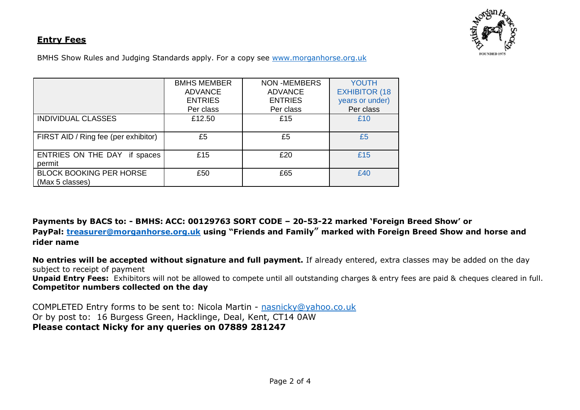## **Entry Fees**



BMHS Show Rules and Judging Standards apply. For a copy see [www.morganhorse.org.uk](http://www.morganhorse.org.uk/)

|                                      | <b>BMHS MEMBER</b> | <b>NON -MEMBERS</b> | <b>YOUTH</b>         |
|--------------------------------------|--------------------|---------------------|----------------------|
|                                      | <b>ADVANCE</b>     | <b>ADVANCE</b>      | <b>EXHIBITOR (18</b> |
|                                      | <b>ENTRIES</b>     | <b>ENTRIES</b>      | years or under)      |
|                                      | Per class          | Per class           | Per class            |
| <b>INDIVIDUAL CLASSES</b>            | £12.50             | £15                 | £10                  |
|                                      |                    |                     |                      |
| FIRST AID / Ring fee (per exhibitor) | £5                 | £5                  | £5                   |
|                                      |                    |                     |                      |
| ENTRIES ON THE DAY if spaces         | £15                | £20                 | £15                  |
| permit                               |                    |                     |                      |
| <b>BLOCK BOOKING PER HORSE</b>       | £50                | £65                 | £40                  |
| (Max 5 classes)                      |                    |                     |                      |

**Payments by BACS to: - BMHS: ACC: 00129763 SORT CODE – 20-53-22 marked 'Foreign Breed Show' or PayPal: [treasurer@morganhorse.org.uk](mailto:treasurer@morganhorse.org.uk) using "Friends and Family" marked with Foreign Breed Show and horse and rider name**

**No entries will be accepted without signature and full payment.** If already entered, extra classes may be added on the day subject to receipt of payment **Unpaid Entry Fees:** Exhibitors will not be allowed to compete until all outstanding charges & entry fees are paid & cheques cleared in full. **Competitor numbers collected on the day**

COMPLETED Entry forms to be sent to: Nicola Martin - [nasnicky@yahoo.co.uk](mailto:nasnicky@yahoo.co.uk) Or by post to: 16 Burgess Green, Hacklinge, Deal, Kent, CT14 0AW **Please contact Nicky for any queries on 07889 281247**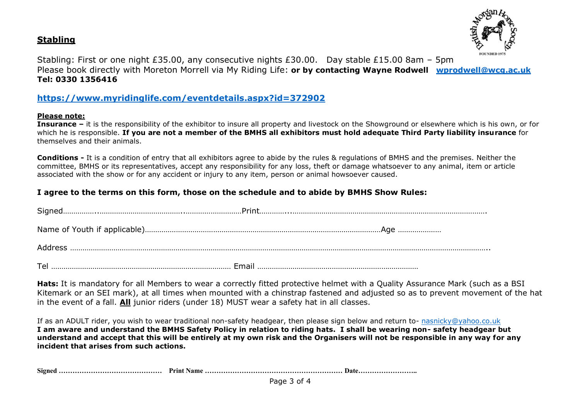



Stabling: First or one night £35.00, any consecutive nights £30.00. Day stable £15.00 8am – 5pm Please book directly with Moreton Morrell via My Riding Life: **or by contacting Wayne Rodwell [wprodwell@wcg.ac.uk](mailto:wprodwell@wcg.ac.uk) Tel: 0330 1356416**

## **<https://www.myridinglife.com/eventdetails.aspx?id=372902>**

### **Please note:**

**Insurance –** it is the responsibility of the exhibitor to insure all property and livestock on the Showground or elsewhere which is his own, or for which he is responsible. **If you are not a member of the BMHS all exhibitors must hold adequate Third Party liability insurance** for themselves and their animals.

**Conditions -** It is a condition of entry that all exhibitors agree to abide by the rules & regulations of BMHS and the premises. Neither the committee, BMHS or its representatives, accept any responsibility for any loss, theft or damage whatsoever to any animal, item or article associated with the show or for any accident or injury to any item, person or animal howsoever caused.

### **I agree to the terms on this form, those on the schedule and to abide by BMHS Show Rules:**

**Hats:** It is mandatory for all Members to wear a correctly fitted protective helmet with a Quality Assurance Mark (such as a BSI Kitemark or an SEI mark), at all times when mounted with a chinstrap fastened and adjusted so as to prevent movement of the hat in the event of a fall. **All** junior riders (under 18) MUST wear a safety hat in all classes.

If as an ADULT rider, you wish to wear traditional non-safety headgear, then please sign below and return to- [nasnicky@yahoo.co.uk](mailto:nasnicky@yahoo.co.uk) **I am aware and understand the BMHS Safety Policy in relation to riding hats. I shall be wearing non- safety headgear but understand and accept that this will be entirely at my own risk and the Organisers will not be responsible in any way for any incident that arises from such actions.**

**Signed ……………………………………… Print Name …………………………………………………… Date……………………..**